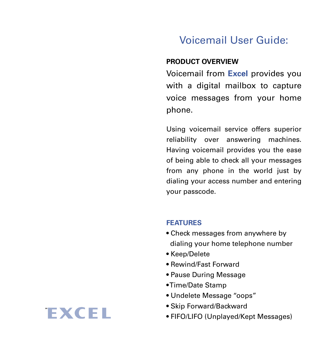# Voicemail User Guide:

### **PRODUCT OVERVIEW**

Voicemail from **Excel** provides you with a digital mailbox to capture voice messages from your home phone.

Using voicemail service offers superior reliability over answering machines. Having voicemail provides you the ease of being able to check all your messages from any phone in the world just by dialing your access number and entering your passcode.

#### **FEATURES**

- Check messages from anywhere by dialing your home telephone number
- Keep/Delete
- Rewind/Fast Forward
- Pause During Message
- Time/Date Stamp
- Undelete Message "oops"
- Skip Forward/Backward
- FIFO/LIFO (Unplayed/Kept Messages)

# **EXCEL**